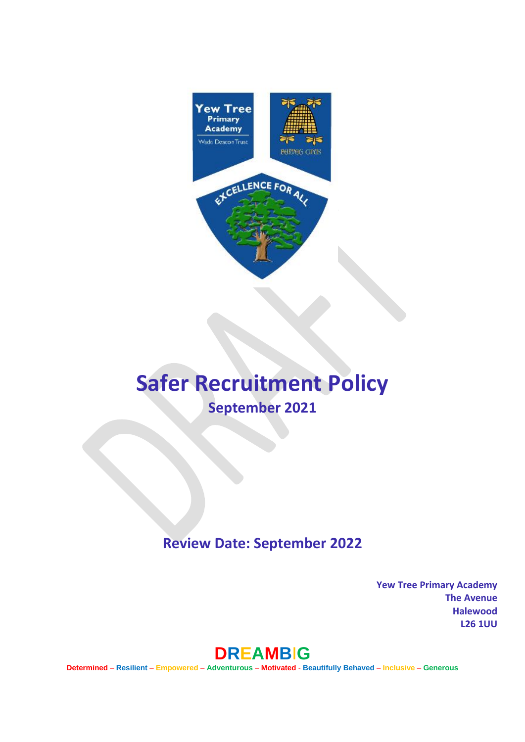

# **Safer Recruitment Policy September 2021**

## **Review Date: September 2022**

**Yew Tree Primary Academy The Avenue Halewood L26 1UU** 



**Determined** – **Resilient** – **Empowered** – **Adventurous** – **Motivated** - **Beautifully Behaved** – **Inclusive** – **Generous**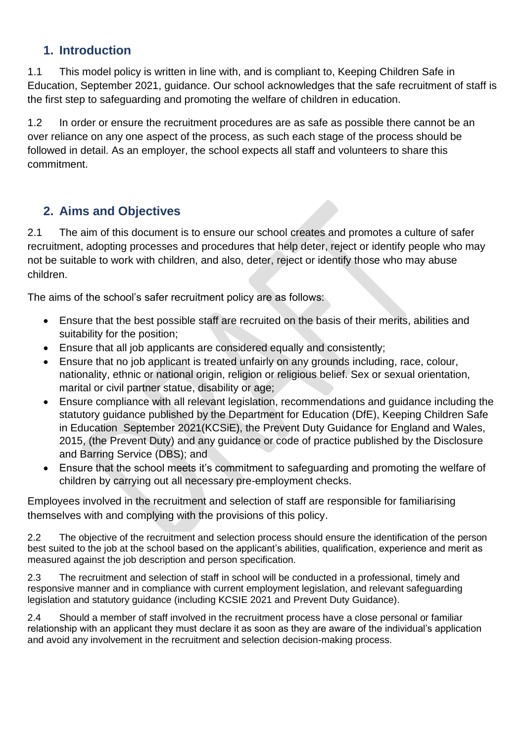### **1. Introduction**

1.1 This model policy is written in line with, and is compliant to, Keeping Children Safe in Education, September 2021, guidance. Our school acknowledges that the safe recruitment of staff is the first step to safeguarding and promoting the welfare of children in education.

1.2 In order or ensure the recruitment procedures are as safe as possible there cannot be an over reliance on any one aspect of the process, as such each stage of the process should be followed in detail. As an employer, the school expects all staff and volunteers to share this commitment.

## **2. Aims and Objectives**

2.1 The aim of this document is to ensure our school creates and promotes a culture of safer recruitment, adopting processes and procedures that help deter, reject or identify people who may not be suitable to work with children, and also, deter, reject or identify those who may abuse children.

The aims of the school's safer recruitment policy are as follows:

- Ensure that the best possible staff are recruited on the basis of their merits, abilities and suitability for the position;
- Ensure that all job applicants are considered equally and consistently;
- Ensure that no job applicant is treated unfairly on any grounds including, race, colour, nationality, ethnic or national origin, religion or religious belief. Sex or sexual orientation, marital or civil partner statue, disability or age;
- Ensure compliance with all relevant legislation, recommendations and guidance including the statutory guidance published by the Department for Education (DfE), Keeping Children Safe in Education September 2021(KCSiE), the Prevent Duty Guidance for England and Wales, 2015, (the Prevent Duty) and any guidance or code of practice published by the Disclosure and Barring Service (DBS); and
- Ensure that the school meets it's commitment to safeguarding and promoting the welfare of children by carrying out all necessary pre-employment checks.

Employees involved in the recruitment and selection of staff are responsible for familiarising themselves with and complying with the provisions of this policy.

2.2 The objective of the recruitment and selection process should ensure the identification of the person best suited to the job at the school based on the applicant's abilities, qualification, experience and merit as measured against the job description and person specification.

2.3 The recruitment and selection of staff in school will be conducted in a professional, timely and responsive manner and in compliance with current employment legislation, and relevant safeguarding legislation and statutory guidance (including KCSIE 2021 and Prevent Duty Guidance).

2.4 Should a member of staff involved in the recruitment process have a close personal or familiar relationship with an applicant they must declare it as soon as they are aware of the individual's application and avoid any involvement in the recruitment and selection decision-making process.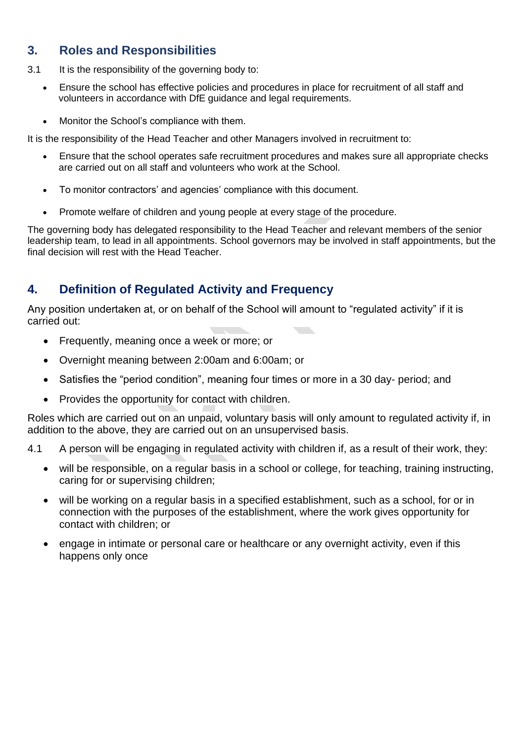### **3. Roles and Responsibilities**

- 3.1 It is the responsibility of the governing body to:
	- Ensure the school has effective policies and procedures in place for recruitment of all staff and volunteers in accordance with DfE guidance and legal requirements.
	- Monitor the School's compliance with them.

It is the responsibility of the Head Teacher and other Managers involved in recruitment to:

- Ensure that the school operates safe recruitment procedures and makes sure all appropriate checks are carried out on all staff and volunteers who work at the School.
- To monitor contractors' and agencies' compliance with this document.
- Promote welfare of children and young people at every stage of the procedure.

The governing body has delegated responsibility to the Head Teacher and relevant members of the senior leadership team, to lead in all appointments. School governors may be involved in staff appointments, but the final decision will rest with the Head Teacher.

### **4. Definition of Regulated Activity and Frequency**

Any position undertaken at, or on behalf of the School will amount to "regulated activity" if it is carried out:

- Frequently, meaning once a week or more; or
- Overnight meaning between 2:00am and 6:00am; or
- Satisfies the "period condition", meaning four times or more in a 30 day- period; and
- Provides the opportunity for contact with children.

Roles which are carried out on an unpaid, voluntary basis will only amount to regulated activity if, in addition to the above, they are carried out on an unsupervised basis.

- 4.1 A person will be engaging in regulated activity with children if, as a result of their work, they:
	- will be responsible, on a regular basis in a school or college, for teaching, training instructing, caring for or supervising children;
	- will be working on a regular basis in a specified establishment, such as a school, for or in connection with the purposes of the establishment, where the work gives opportunity for contact with children; or
	- engage in intimate or personal care or healthcare or any overnight activity, even if this happens only once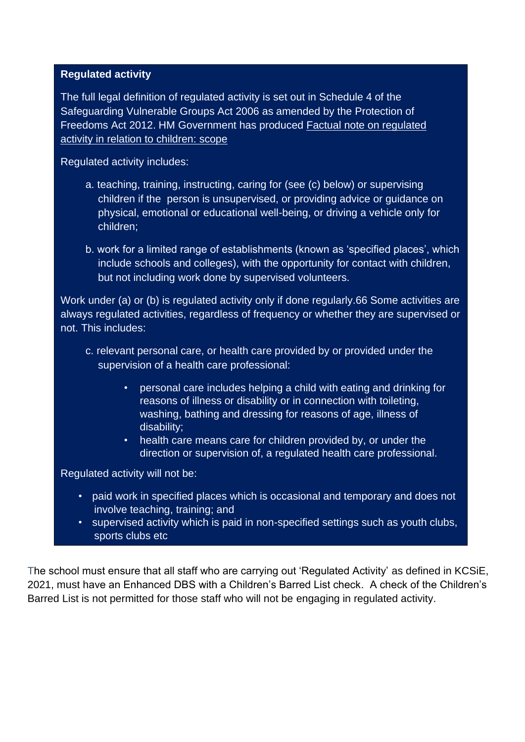#### **Regulated activity**

The full legal definition of regulated activity is set out in Schedule 4 of the Safeguarding Vulnerable Groups Act 2006 as amended by the Protection of Freedoms Act 2012. HM Government has produced [Factual note on regulated](https://assets.publishing.service.gov.uk/government/uploads/system/uploads/attachment_data/file/550197/Regulated_activity_in_relation_to_children.pdf)  [activity in relation to children: scope](https://assets.publishing.service.gov.uk/government/uploads/system/uploads/attachment_data/file/550197/Regulated_activity_in_relation_to_children.pdf)

Regulated activity includes:

- a. teaching, training, instructing, caring for (see (c) below) or supervising children if the person is unsupervised, or providing advice or guidance on physical, emotional or educational well-being, or driving a vehicle only for children;
- b. work for a limited range of establishments (known as 'specified places', which include schools and colleges), with the opportunity for contact with children, but not including work done by supervised volunteers.

Work under (a) or (b) is regulated activity only if done regularly.66 Some activities are always regulated activities, regardless of frequency or whether they are supervised or not. This includes:

- c. relevant personal care, or health care provided by or provided under the supervision of a health care professional:
	- personal care includes helping a child with eating and drinking for reasons of illness or disability or in connection with toileting, washing, bathing and dressing for reasons of age, illness of disability;
	- health care means care for children provided by, or under the direction or supervision of, a regulated health care professional.

Regulated activity will not be:

- paid work in specified places which is occasional and temporary and does not involve teaching, training; and
- supervised activity which is paid in non-specified settings such as youth clubs, sports clubs etc

**Keeping Children Safe in Education, Sept 2021**

The school must ensure that all staff who are carrying out 'Regulated Activity' as defined in KCSiE, 2021, must have an Enhanced DBS with a Children's Barred List check. A check of the Children's Barred List is not permitted for those staff who will not be engaging in regulated activity.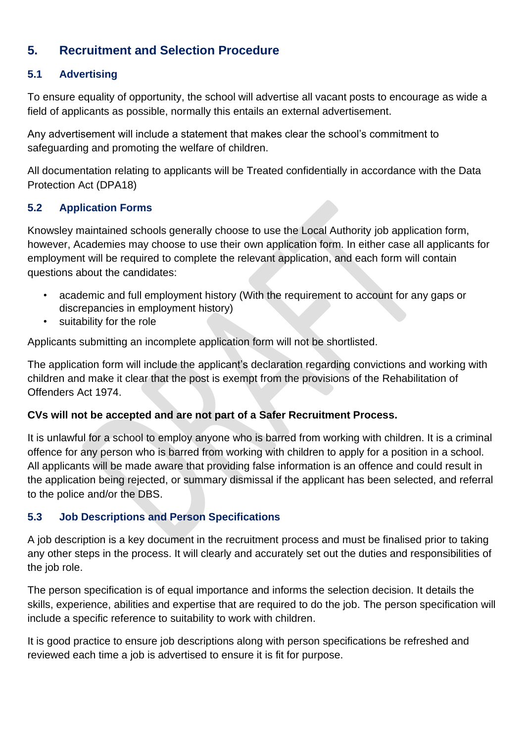### **5. Recruitment and Selection Procedure**

#### **5.1 Advertising**

To ensure equality of opportunity, the school will advertise all vacant posts to encourage as wide a field of applicants as possible, normally this entails an external advertisement.

Any advertisement will include a statement that makes clear the school's commitment to safeguarding and promoting the welfare of children.

All documentation relating to applicants will be Treated confidentially in accordance with the Data Protection Act (DPA18)

#### **5.2 Application Forms**

Knowsley maintained schools generally choose to use the Local Authority job application form, however, Academies may choose to use their own application form. In either case all applicants for employment will be required to complete the relevant application, and each form will contain questions about the candidates:

- academic and full employment history (With the requirement to account for any gaps or discrepancies in employment history)
- suitability for the role

Applicants submitting an incomplete application form will not be shortlisted.

The application form will include the applicant's declaration regarding convictions and working with children and make it clear that the post is exempt from the provisions of the Rehabilitation of Offenders Act 1974.

#### **CVs will not be accepted and are not part of a Safer Recruitment Process.**

It is unlawful for a school to employ anyone who is barred from working with children. It is a criminal offence for any person who is barred from working with children to apply for a position in a school. All applicants will be made aware that providing false information is an offence and could result in the application being rejected, or summary dismissal if the applicant has been selected, and referral to the police and/or the DBS.

#### **5.3 Job Descriptions and Person Specifications**

A job description is a key document in the recruitment process and must be finalised prior to taking any other steps in the process. It will clearly and accurately set out the duties and responsibilities of the job role.

The person specification is of equal importance and informs the selection decision. It details the skills, experience, abilities and expertise that are required to do the job. The person specification will include a specific reference to suitability to work with children.

It is good practice to ensure job descriptions along with person specifications be refreshed and reviewed each time a job is advertised to ensure it is fit for purpose.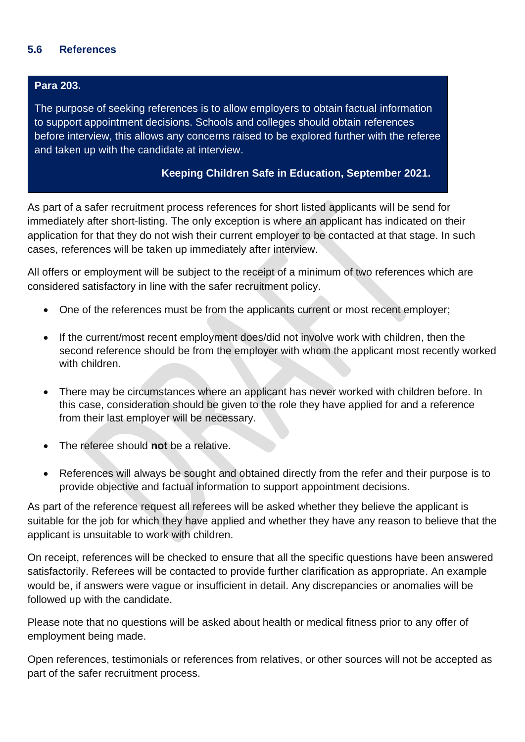#### **5.6 References**

#### **Para 203.**

The purpose of seeking references is to allow employers to obtain factual information to support appointment decisions. Schools and colleges should obtain references before interview, this allows any concerns raised to be explored further with the referee and taken up with the candidate at interview.

#### **Keeping Children Safe in Education, September 2021.**

As part of a safer recruitment process references for short listed applicants will be send for immediately after short-listing. The only exception is where an applicant has indicated on their application for that they do not wish their current employer to be contacted at that stage. In such cases, references will be taken up immediately after interview.

All offers or employment will be subject to the receipt of a minimum of two references which are considered satisfactory in line with the safer recruitment policy.

- One of the references must be from the applicants current or most recent employer;
- If the current/most recent employment does/did not involve work with children, then the second reference should be from the employer with whom the applicant most recently worked with children.
- There may be circumstances where an applicant has never worked with children before. In this case, consideration should be given to the role they have applied for and a reference from their last employer will be necessary.
- The referee should **not** be a relative.
- References will always be sought and obtained directly from the refer and their purpose is to provide objective and factual information to support appointment decisions.

As part of the reference request all referees will be asked whether they believe the applicant is suitable for the job for which they have applied and whether they have any reason to believe that the applicant is unsuitable to work with children.

On receipt, references will be checked to ensure that all the specific questions have been answered satisfactorily. Referees will be contacted to provide further clarification as appropriate. An example would be, if answers were vague or insufficient in detail. Any discrepancies or anomalies will be followed up with the candidate.

Please note that no questions will be asked about health or medical fitness prior to any offer of employment being made.

Open references, testimonials or references from relatives, or other sources will not be accepted as part of the safer recruitment process.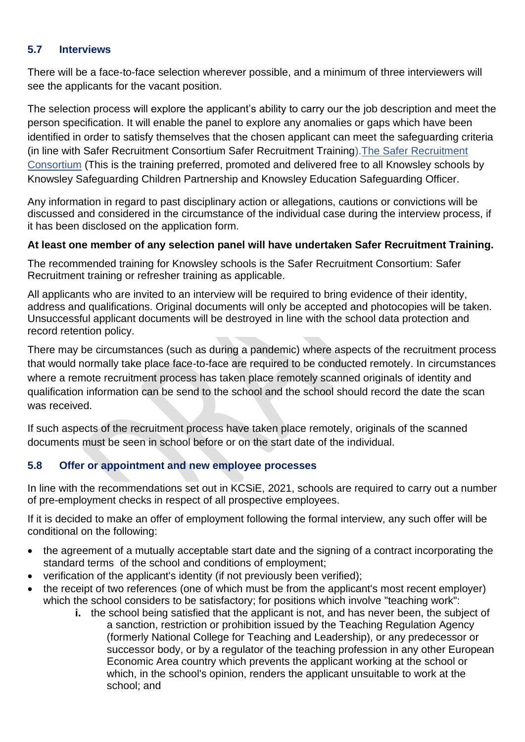#### **5.7 Interviews**

There will be a face-to-face selection wherever possible, and a minimum of three interviewers will see the applicants for the vacant position.

The selection process will explore the applicant's ability to carry our the job description and meet the person specification. It will enable the panel to explore any anomalies or gaps which have been identified in order to satisfy themselves that the chosen applicant can meet the safeguarding criteria (in line with Safer Recruitment Consortium Safer Recruitment Training)[.The Safer Recruitment](https://www.saferrecruitmentconsortium.org/?__cf_chl_jschl_tk__=1d1d70386c96525cf6cd05bc65876ae32eeede23-1597234164-0-AW8l_V8Vek_DG6DBWt3TBKsbZ2AjmfW6k_6q4FT5qFckWjvtnxUqcJ1iHGZZi9UI8vFNnw03xygYXB0JTKv-DNrsjHMjpzHctrCi2ToE41sPeqRuslE-SVqo8ECoJegff09J-sQ64QmojxrLXlV_iY77aEJ5o40w-z96ixtsFLYtM9S017DTkvynBoXmVO9Cp7c7x34C8h-af5Ks4hJIOCEfJBs_RQH-5UNY-T6wWI0gdUJCaA940rrZsm8CjNsnkeSEkzMLGPMVwGhRSZSTokA)  [Consortium](https://www.saferrecruitmentconsortium.org/?__cf_chl_jschl_tk__=1d1d70386c96525cf6cd05bc65876ae32eeede23-1597234164-0-AW8l_V8Vek_DG6DBWt3TBKsbZ2AjmfW6k_6q4FT5qFckWjvtnxUqcJ1iHGZZi9UI8vFNnw03xygYXB0JTKv-DNrsjHMjpzHctrCi2ToE41sPeqRuslE-SVqo8ECoJegff09J-sQ64QmojxrLXlV_iY77aEJ5o40w-z96ixtsFLYtM9S017DTkvynBoXmVO9Cp7c7x34C8h-af5Ks4hJIOCEfJBs_RQH-5UNY-T6wWI0gdUJCaA940rrZsm8CjNsnkeSEkzMLGPMVwGhRSZSTokA) (This is the training preferred, promoted and delivered free to all Knowsley schools by Knowsley Safeguarding Children Partnership and Knowsley Education Safeguarding Officer.

Any information in regard to past disciplinary action or allegations, cautions or convictions will be discussed and considered in the circumstance of the individual case during the interview process, if it has been disclosed on the application form.

#### **At least one member of any selection panel will have undertaken Safer Recruitment Training.**

The recommended training for Knowsley schools is the Safer Recruitment Consortium: Safer Recruitment training or refresher training as applicable.

All applicants who are invited to an interview will be required to bring evidence of their identity, address and qualifications. Original documents will only be accepted and photocopies will be taken. Unsuccessful applicant documents will be destroyed in line with the school data protection and record retention policy.

There may be circumstances (such as during a pandemic) where aspects of the recruitment process that would normally take place face-to-face are required to be conducted remotely. In circumstances where a remote recruitment process has taken place remotely scanned originals of identity and qualification information can be send to the school and the school should record the date the scan was received.

If such aspects of the recruitment process have taken place remotely, originals of the scanned documents must be seen in school before or on the start date of the individual.

#### **5.8 Offer or appointment and new employee processes**

In line with the recommendations set out in KCSiE, 2021, schools are required to carry out a number of pre-employment checks in respect of all prospective employees.

If it is decided to make an offer of employment following the formal interview, any such offer will be conditional on the following:

- the agreement of a mutually acceptable start date and the signing of a contract incorporating the standard terms of the school and conditions of employment;
- verification of the applicant's identity (if not previously been verified);
- the receipt of two references (one of which must be from the applicant's most recent employer) which the school considers to be satisfactory; for positions which involve "teaching work":
	- **i.** the school being satisfied that the applicant is not, and has never been, the subject of a sanction, restriction or prohibition issued by the Teaching Regulation Agency (formerly National College for Teaching and Leadership), or any predecessor or successor body, or by a regulator of the teaching profession in any other European Economic Area country which prevents the applicant working at the school or which, in the school's opinion, renders the applicant unsuitable to work at the school; and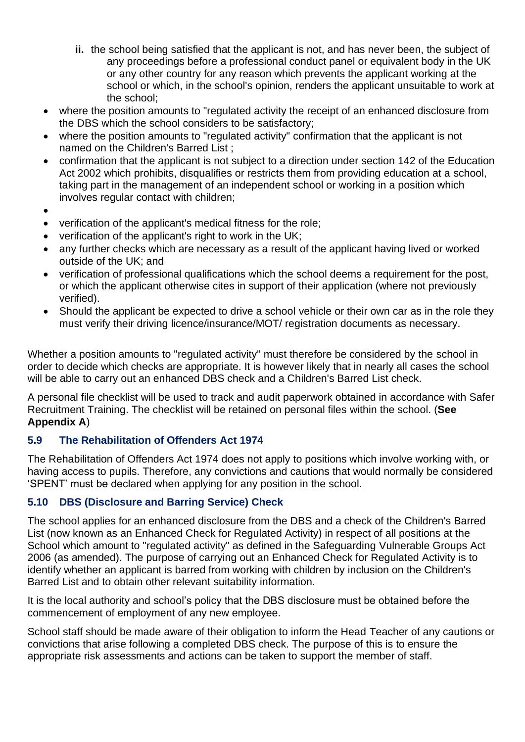- **ii.** the school being satisfied that the applicant is not, and has never been, the subject of any proceedings before a professional conduct panel or equivalent body in the UK or any other country for any reason which prevents the applicant working at the school or which, in the school's opinion, renders the applicant unsuitable to work at the school;
- where the position amounts to "regulated activity the receipt of an enhanced disclosure from the DBS which the school considers to be satisfactory;
- where the position amounts to "regulated activity" confirmation that the applicant is not named on the Children's Barred List ;
- confirmation that the applicant is not subject to a direction under section 142 of the Education Act 2002 which prohibits, disqualifies or restricts them from providing education at a school. taking part in the management of an independent school or working in a position which involves regular contact with children;
- •
- verification of the applicant's medical fitness for the role;
- verification of the applicant's right to work in the UK;
- any further checks which are necessary as a result of the applicant having lived or worked outside of the UK; and
- verification of professional qualifications which the school deems a requirement for the post, or which the applicant otherwise cites in support of their application (where not previously verified).
- Should the applicant be expected to drive a school vehicle or their own car as in the role they must verify their driving licence/insurance/MOT/ registration documents as necessary.

Whether a position amounts to "regulated activity" must therefore be considered by the school in order to decide which checks are appropriate. It is however likely that in nearly all cases the school will be able to carry out an enhanced DBS check and a Children's Barred List check.

A personal file checklist will be used to track and audit paperwork obtained in accordance with Safer Recruitment Training. The checklist will be retained on personal files within the school. (**See Appendix A**)

#### **5.9 The Rehabilitation of Offenders Act 1974**

The Rehabilitation of Offenders Act 1974 does not apply to positions which involve working with, or having access to pupils. Therefore, any convictions and cautions that would normally be considered 'SPENT' must be declared when applying for any position in the school.

#### **5.10 DBS (Disclosure and Barring Service) Check**

The school applies for an enhanced disclosure from the DBS and a check of the Children's Barred List (now known as an Enhanced Check for Regulated Activity) in respect of all positions at the School which amount to "regulated activity" as defined in the Safeguarding Vulnerable Groups Act 2006 (as amended). The purpose of carrying out an Enhanced Check for Regulated Activity is to identify whether an applicant is barred from working with children by inclusion on the Children's Barred List and to obtain other relevant suitability information.

It is the local authority and school's policy that the DBS disclosure must be obtained before the commencement of employment of any new employee.

School staff should be made aware of their obligation to inform the Head Teacher of any cautions or convictions that arise following a completed DBS check. The purpose of this is to ensure the appropriate risk assessments and actions can be taken to support the member of staff.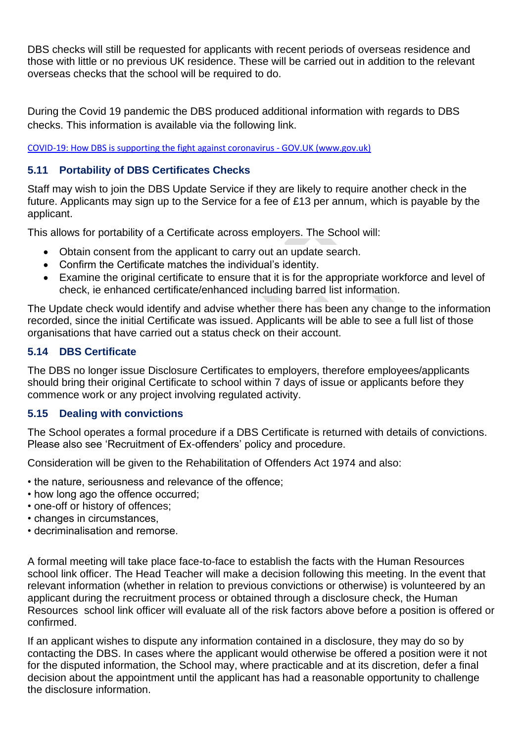DBS checks will still be requested for applicants with recent periods of overseas residence and those with little or no previous UK residence. These will be carried out in addition to the relevant overseas checks that the school will be required to do.

During the Covid 19 pandemic the DBS produced additional information with regards to DBS checks. This information is available via the following link.

[COVID-19: How DBS is supporting the fight against coronavirus -](https://www.gov.uk/guidance/covid-19-how-dbs-is-supporting-the-fight-against-coronavirus) GOV.UK (www.gov.uk)

#### **5.11 Portability of DBS Certificates Checks**

Staff may wish to join the DBS Update Service if they are likely to require another check in the future. Applicants may sign up to the Service for a fee of £13 per annum, which is payable by the applicant.

This allows for portability of a Certificate across employers. The School will:

- Obtain consent from the applicant to carry out an update search.
- Confirm the Certificate matches the individual's identity.
- Examine the original certificate to ensure that it is for the appropriate workforce and level of check, ie enhanced certificate/enhanced including barred list information.

The Update check would identify and advise whether there has been any change to the information recorded, since the initial Certificate was issued. Applicants will be able to see a full list of those organisations that have carried out a status check on their account.

#### **5.14 DBS Certificate**

The DBS no longer issue Disclosure Certificates to employers, therefore employees/applicants should bring their original Certificate to school within 7 days of issue or applicants before they commence work or any project involving regulated activity.

#### **5.15 Dealing with convictions**

The School operates a formal procedure if a DBS Certificate is returned with details of convictions. Please also see 'Recruitment of Ex-offenders' policy and procedure.

Consideration will be given to the Rehabilitation of Offenders Act 1974 and also:

- the nature, seriousness and relevance of the offence;
- how long ago the offence occurred;
- one-off or history of offences;
- changes in circumstances,
- decriminalisation and remorse.

A formal meeting will take place face-to-face to establish the facts with the Human Resources school link officer. The Head Teacher will make a decision following this meeting. In the event that relevant information (whether in relation to previous convictions or otherwise) is volunteered by an applicant during the recruitment process or obtained through a disclosure check, the Human Resources school link officer will evaluate all of the risk factors above before a position is offered or confirmed.

If an applicant wishes to dispute any information contained in a disclosure, they may do so by contacting the DBS. In cases where the applicant would otherwise be offered a position were it not for the disputed information, the School may, where practicable and at its discretion, defer a final decision about the appointment until the applicant has had a reasonable opportunity to challenge the disclosure information.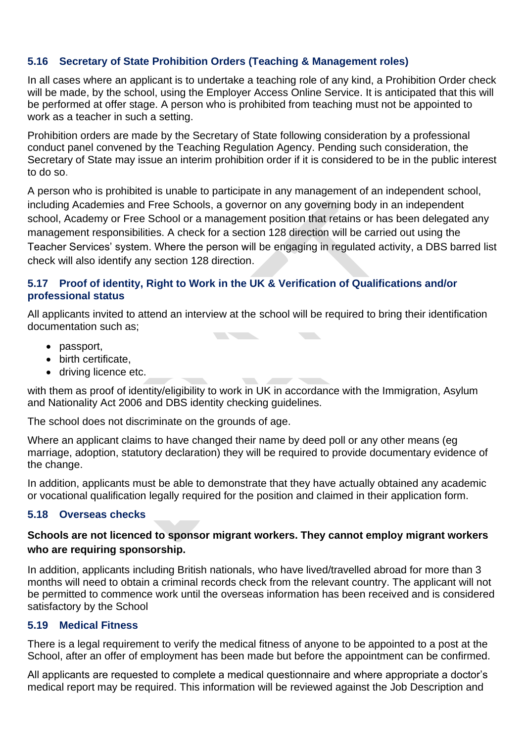#### **5.16 Secretary of State Prohibition Orders (Teaching & Management roles)**

In all cases where an applicant is to undertake a teaching role of any kind, a Prohibition Order check will be made, by the school, using the Employer Access Online Service. It is anticipated that this will be performed at offer stage. A person who is prohibited from teaching must not be appointed to work as a teacher in such a setting.

Prohibition orders are made by the Secretary of State following consideration by a professional conduct panel convened by the Teaching Regulation Agency. Pending such consideration, the Secretary of State may issue an interim prohibition order if it is considered to be in the public interest to do so.

A person who is prohibited is unable to participate in any management of an independent school, including Academies and Free Schools, a governor on any governing body in an independent school, Academy or Free School or a management position that retains or has been delegated any management responsibilities. A check for a section 128 direction will be carried out using the Teacher Services' system. Where the person will be engaging in regulated activity, a DBS barred list check will also identify any section 128 direction.

#### **5.17 Proof of identity, Right to Work in the UK & Verification of Qualifications and/or professional status**

All applicants invited to attend an interview at the school will be required to bring their identification documentation such as; **The Second Contract of Second Contract Contract** 

- passport,
- birth certificate,
- driving licence etc.

with them as proof of identity/eligibility to work in UK in accordance with the Immigration, Asylum and Nationality Act 2006 and DBS identity checking guidelines.

The school does not discriminate on the grounds of age.

Where an applicant claims to have changed their name by deed poll or any other means (eg marriage, adoption, statutory declaration) they will be required to provide documentary evidence of the change.

In addition, applicants must be able to demonstrate that they have actually obtained any academic or vocational qualification legally required for the position and claimed in their application form.

#### **5.18 Overseas checks**

#### **Schools are not licenced to sponsor migrant workers. They cannot employ migrant workers who are requiring sponsorship.**

In addition, applicants including British nationals, who have lived/travelled abroad for more than 3 months will need to obtain a criminal records check from the relevant country. The applicant will not be permitted to commence work until the overseas information has been received and is considered satisfactory by the School

#### **5.19 Medical Fitness**

There is a legal requirement to verify the medical fitness of anyone to be appointed to a post at the School, after an offer of employment has been made but before the appointment can be confirmed.

All applicants are requested to complete a medical questionnaire and where appropriate a doctor's medical report may be required. This information will be reviewed against the Job Description and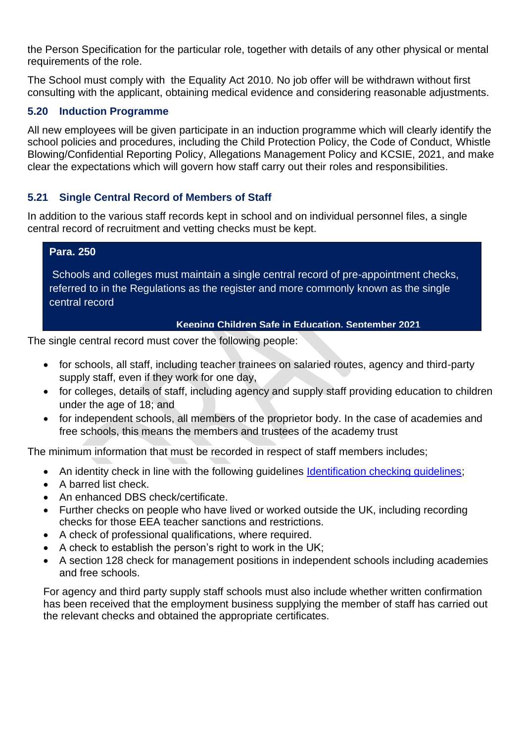the Person Specification for the particular role, together with details of any other physical or mental requirements of the role.

The School must comply with the Equality Act 2010. No job offer will be withdrawn without first consulting with the applicant, obtaining medical evidence and considering reasonable adjustments.

#### **5.20 Induction Programme**

All new employees will be given participate in an induction programme which will clearly identify the school policies and procedures, including the Child Protection Policy, the Code of Conduct, Whistle Blowing/Confidential Reporting Policy, Allegations Management Policy and KCSIE, 2021, and make clear the expectations which will govern how staff carry out their roles and responsibilities.

#### **5.21 Single Central Record of Members of Staff**

In addition to the various staff records kept in school and on individual personnel files, a single central record of recruitment and vetting checks must be kept.

#### **Para. 250**

Schools and colleges must maintain a single central record of pre-appointment checks, referred to in the Regulations as the register and more commonly known as the single central record

#### **Keeping Children Safe in Education, September 2021**

The single central record must cover the following people:

- for schools, all staff, including teacher trainees on salaried routes, agency and third-party supply staff, even if they work for one day,
- for colleges, details of staff, including agency and supply staff providing education to children under the age of 18; and
- for independent schools, all members of the proprietor body. In the case of academies and free schools, this means the members and trustees of the academy trust

The minimum information that must be recorded in respect of staff members includes;

- An identity check in line with the following guidelines Identification checking quidelines;
- A barred list check.
- An enhanced DBS check/certificate.
- Further checks on people who have lived or worked outside the UK, including recording checks for those EEA teacher sanctions and restrictions.
- A check of professional qualifications, where required.
- A check to establish the person's right to work in the UK;
- A section 128 check for management positions in independent schools including academies and free schools.

For agency and third party supply staff schools must also include whether written confirmation has been received that the employment business supplying the member of staff has carried out the relevant checks and obtained the appropriate certificates.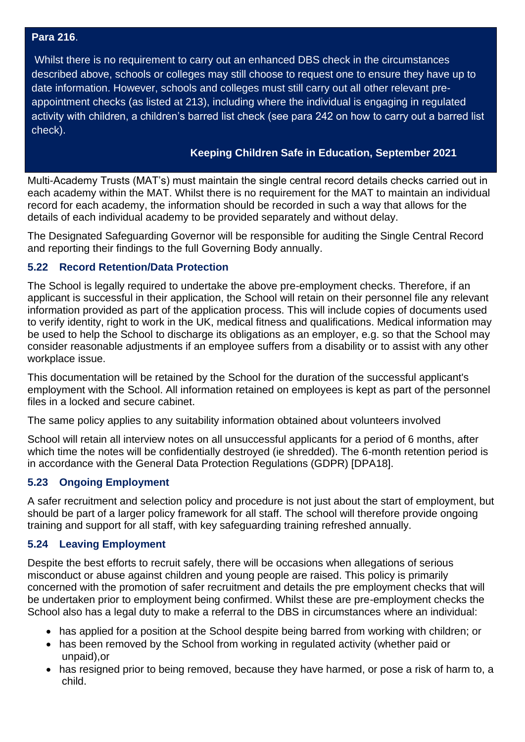#### **Para 216**.

Whilst there is no requirement to carry out an enhanced DBS check in the circumstances described above, schools or colleges may still choose to request one to ensure they have up to date information. However, schools and colleges must still carry out all other relevant preappointment checks (as listed at 213), including where the individual is engaging in regulated activity with children, a children's barred list check (see para 242 on how to carry out a barred list check).

#### **Keeping Children Safe in Education, September 2021**

Multi-Academy Trusts (MAT's) must maintain the single central record details checks carried out in each academy within the MAT. Whilst there is no requirement for the MAT to maintain an individual record for each academy, the information should be recorded in such a way that allows for the details of each individual academy to be provided separately and without delay.

The Designated Safeguarding Governor will be responsible for auditing the Single Central Record and reporting their findings to the full Governing Body annually.

#### **5.22 Record Retention/Data Protection**

The School is legally required to undertake the above pre-employment checks. Therefore, if an applicant is successful in their application, the School will retain on their personnel file any relevant information provided as part of the application process. This will include copies of documents used to verify identity, right to work in the UK, medical fitness and qualifications. Medical information may be used to help the School to discharge its obligations as an employer, e.g. so that the School may consider reasonable adjustments if an employee suffers from a disability or to assist with any other workplace issue.

This documentation will be retained by the School for the duration of the successful applicant's employment with the School. All information retained on employees is kept as part of the personnel files in a locked and secure cabinet.

The same policy applies to any suitability information obtained about volunteers involved

School will retain all interview notes on all unsuccessful applicants for a period of 6 months, after which time the notes will be confidentially destroyed (ie shredded). The 6-month retention period is in accordance with the General Data Protection Regulations (GDPR) [DPA18].

#### **5.23 Ongoing Employment**

A safer recruitment and selection policy and procedure is not just about the start of employment, but should be part of a larger policy framework for all staff. The school will therefore provide ongoing training and support for all staff, with key safeguarding training refreshed annually.

#### **5.24 Leaving Employment**

Despite the best efforts to recruit safely, there will be occasions when allegations of serious misconduct or abuse against children and young people are raised. This policy is primarily concerned with the promotion of safer recruitment and details the pre employment checks that will be undertaken prior to employment being confirmed. Whilst these are pre-employment checks the School also has a legal duty to make a referral to the DBS in circumstances where an individual:

- has applied for a position at the School despite being barred from working with children; or
- has been removed by the School from working in regulated activity (whether paid or unpaid),or
- has resigned prior to being removed, because they have harmed, or pose a risk of harm to, a child.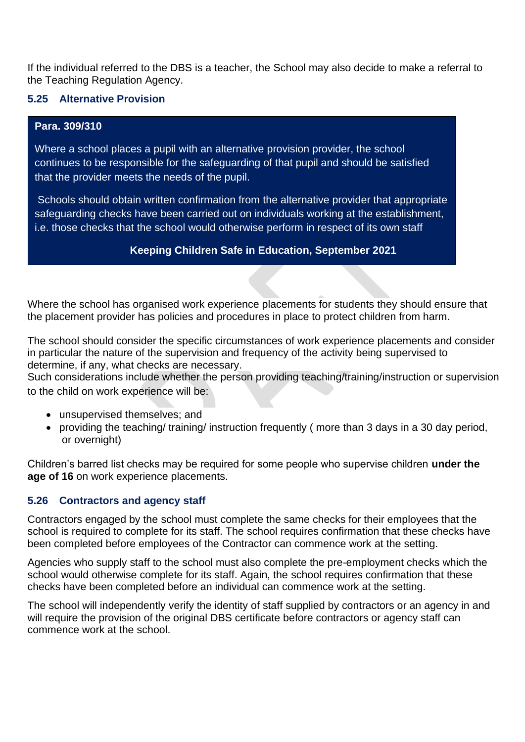If the individual referred to the DBS is a teacher, the School may also decide to make a referral to the Teaching Regulation Agency.

#### **5.25 Alternative Provision**

#### **Para. 309/310**

Where a school places a pupil with an alternative provision provider, the school continues to be responsible for the safeguarding of that pupil and should be satisfied that the provider meets the needs of the pupil.

Schools should obtain written confirmation from the alternative provider that appropriate safeguarding checks have been carried out on individuals working at the establishment, i.e. those checks that the school would otherwise perform in respect of its own staff

#### **Keeping Children Safe in Education, September 2021**

Where the school has organised work experience placements for students they should ensure that the placement provider has policies and procedures in place to protect children from harm.

The school should consider the specific circumstances of work experience placements and consider in particular the nature of the supervision and frequency of the activity being supervised to determine, if any, what checks are necessary.

Such considerations include whether the person providing teaching/training/instruction or supervision to the child on work experience will be:

- unsupervised themselves: and
- providing the teaching/ training/ instruction frequently ( more than 3 days in a 30 day period, or overnight)

Children's barred list checks may be required for some people who supervise children **under the age of 16** on work experience placements.

#### **5.26 Contractors and agency staff**

Contractors engaged by the school must complete the same checks for their employees that the school is required to complete for its staff. The school requires confirmation that these checks have been completed before employees of the Contractor can commence work at the setting.

Agencies who supply staff to the school must also complete the pre-employment checks which the school would otherwise complete for its staff. Again, the school requires confirmation that these checks have been completed before an individual can commence work at the setting.

The school will independently verify the identity of staff supplied by contractors or an agency in and will require the provision of the original DBS certificate before contractors or agency staff can commence work at the school.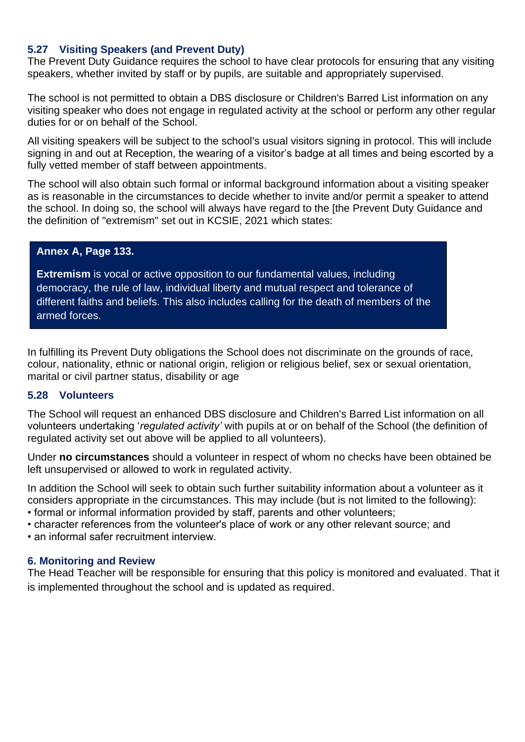#### **5.27 Visiting Speakers (and Prevent Duty)**

The Prevent Duty Guidance requires the school to have clear protocols for ensuring that any visiting speakers, whether invited by staff or by pupils, are suitable and appropriately supervised.

The school is not permitted to obtain a DBS disclosure or Children's Barred List information on any visiting speaker who does not engage in regulated activity at the school or perform any other regular duties for or on behalf of the School.

All visiting speakers will be subject to the school's usual visitors signing in protocol. This will include signing in and out at Reception, the wearing of a visitor's badge at all times and being escorted by a fully vetted member of staff between appointments.

The school will also obtain such formal or informal background information about a visiting speaker as is reasonable in the circumstances to decide whether to invite and/or permit a speaker to attend the school. In doing so, the school will always have regard to the [the Prevent Duty Guidance and the definition of "extremism" set out in KCSIE, 2021 which states:

#### **Annex A, Page 133.**

**Extremism** is vocal or active opposition to our fundamental values, including democracy, the rule of law, individual liberty and mutual respect and tolerance of different faiths and beliefs. This also includes calling for the death of members of the armed forces.

In fulfilling its Prevent Duty obligations the School does not discriminate on the grounds of race, colour, nationality, ethnic or national origin, religion or religious belief, sex or sexual orientation, marital or civil partner status, disability or age

#### **5.28 Volunteers**

The School will request an enhanced DBS disclosure and Children's Barred List information on all volunteers undertaking '*regulated activity'* with pupils at or on behalf of the School (the definition of regulated activity set out above will be applied to all volunteers).

Under **no circumstances** should a volunteer in respect of whom no checks have been obtained be left unsupervised or allowed to work in regulated activity.

In addition the School will seek to obtain such further suitability information about a volunteer as it considers appropriate in the circumstances. This may include (but is not limited to the following):

- formal or informal information provided by staff, parents and other volunteers;
- character references from the volunteer's place of work or any other relevant source; and
- an informal safer recruitment interview.

#### **6. Monitoring and Review**

The Head Teacher will be responsible for ensuring that this policy is monitored and evaluated. That it is implemented throughout the school and is updated as required.